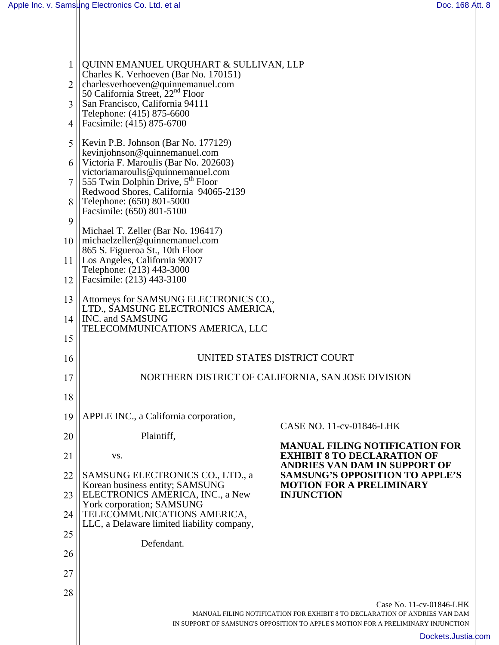| 1              | QUINN EMANUEL URQUHART & SULLIVAN, LLP<br>Charles K. Verhoeven (Bar No. 170151)                                                         |                                                                                                         |  |
|----------------|-----------------------------------------------------------------------------------------------------------------------------------------|---------------------------------------------------------------------------------------------------------|--|
| 2              | charlesverhoeven@quinnemanuel.com<br>50 California Street, 22 <sup>nd</sup> Floor                                                       |                                                                                                         |  |
| 3              | San Francisco, California 94111<br>Telephone: (415) 875-6600                                                                            |                                                                                                         |  |
| $\overline{4}$ | Facsimile: (415) 875-6700                                                                                                               |                                                                                                         |  |
| 5              | Kevin P.B. Johnson (Bar No. 177129)<br>kevinjohnson@quinnemanuel.com                                                                    |                                                                                                         |  |
|                | 6    Victoria F. Maroulis (Bar No. 202603)                                                                                              |                                                                                                         |  |
|                | victoriamaroulis@quinnemanuel.com<br>$\parallel$ 555 Twin Dolphin Drive, 5 <sup>th</sup> Floor<br>Redwood Shores, California 94065-2139 |                                                                                                         |  |
| 8              | Telephone: (650) 801-5000<br>Facsimile: (650) 801-5100                                                                                  |                                                                                                         |  |
| 9              |                                                                                                                                         |                                                                                                         |  |
| 10             | Michael T. Zeller (Bar No. 196417)<br>$\parallel$ michaelzeller@quinnemanuel.com<br>865 S. Figueroa St., 10th Floor                     |                                                                                                         |  |
| 11             | Los Angeles, California 90017<br>Telephone: (213) 443-3000                                                                              |                                                                                                         |  |
| 12             | Facsimile: (213) 443-3100                                                                                                               |                                                                                                         |  |
| 13             | Attorneys for SAMSUNG ELECTRONICS CO.,<br>LTD., SAMSUNG ELECTRONICS AMERICA,                                                            |                                                                                                         |  |
| 14             | INC. and SAMSUNG<br>TELECOMMUNICATIONS AMERICA, LLC                                                                                     |                                                                                                         |  |
| 15             |                                                                                                                                         |                                                                                                         |  |
| 16             | UNITED STATES DISTRICT COURT                                                                                                            |                                                                                                         |  |
| 17             | NORTHERN DISTRICT OF CALIFORNIA, SAN JOSE DIVISION                                                                                      |                                                                                                         |  |
| 18             |                                                                                                                                         |                                                                                                         |  |
| 19             | APPLE INC., a California corporation,                                                                                                   | CASE NO. 11-cv-01846-LHK                                                                                |  |
| 20             | Plaintiff,                                                                                                                              | <b>MANUAL FILING NOTIFICATION FOR</b>                                                                   |  |
| 21             | VS.                                                                                                                                     | <b>EXHIBIT 8 TO DECLARATION OF</b><br>ANDRIES VAN DAM IN SUPPORT OF                                     |  |
| 22<br>23       | SAMSUNG ELECTRONICS CO., LTD., a<br>Korean business entity; SAMSUNG<br>ELECTRONICS AMERICA, INC., a New                                 | <b>SAMSUNG'S OPPOSITION TO APPLE'S</b><br><b>MOTION FOR A PRELIMINARY</b><br><b>INJUNCTION</b>          |  |
| 24             | York corporation; SAMSUNG<br>TELECOMMUNICATIONS AMERICA,                                                                                |                                                                                                         |  |
| 25             | LLC, a Delaware limited liability company,                                                                                              |                                                                                                         |  |
| 26             | Defendant.                                                                                                                              |                                                                                                         |  |
| 27             |                                                                                                                                         |                                                                                                         |  |
| 28             |                                                                                                                                         |                                                                                                         |  |
|                | Case No. 11-cv-01846-LHK<br>MANUAL FILING NOTIFICATION FOR EXHIBIT 8 TO DECLARATION OF ANDRIES VAN DAM                                  |                                                                                                         |  |
|                |                                                                                                                                         | IN SUPPORT OF SAMSUNG'S OPPOSITION TO APPLE'S MOTION FOR A PRELIMINARY INJUNCTION<br>Dockets.Justia.com |  |
|                |                                                                                                                                         |                                                                                                         |  |